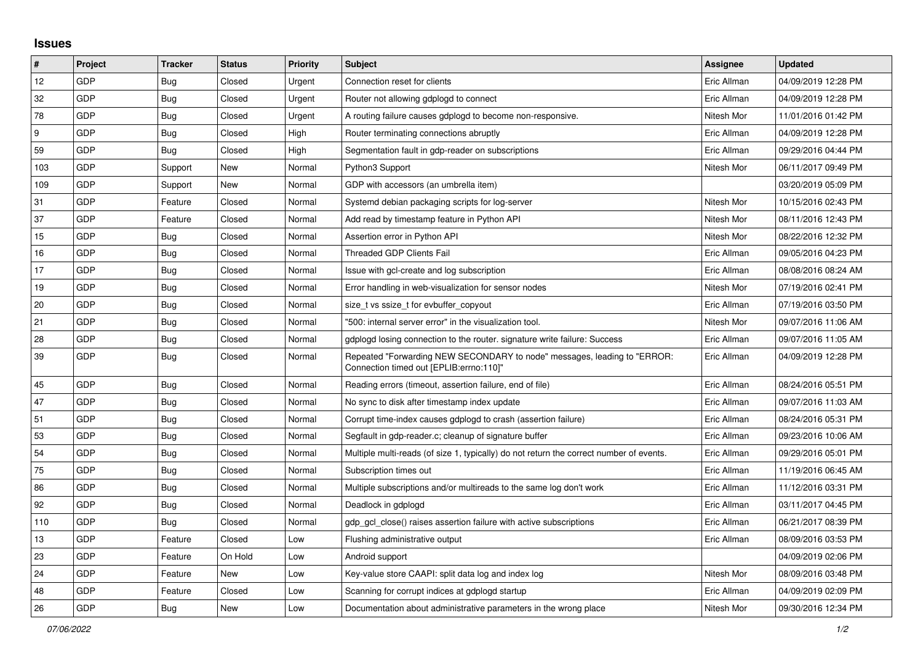## **Issues**

| $\pmb{\sharp}$ | Project    | <b>Tracker</b> | <b>Status</b> | <b>Priority</b> | <b>Subject</b>                                                                                                      | Assignee    | <b>Updated</b>      |
|----------------|------------|----------------|---------------|-----------------|---------------------------------------------------------------------------------------------------------------------|-------------|---------------------|
| 12             | <b>GDP</b> | Bug            | Closed        | Urgent          | Connection reset for clients                                                                                        | Eric Allman | 04/09/2019 12:28 PM |
| 32             | GDP        | Bug            | Closed        | Urgent          | Router not allowing gdplogd to connect                                                                              | Eric Allman | 04/09/2019 12:28 PM |
| 78             | GDP        | Bug            | Closed        | Urgent          | A routing failure causes gdplogd to become non-responsive.                                                          | Nitesh Mor  | 11/01/2016 01:42 PM |
| 9              | GDP        | <b>Bug</b>     | Closed        | High            | Router terminating connections abruptly                                                                             | Eric Allman | 04/09/2019 12:28 PM |
| 59             | GDP        | <b>Bug</b>     | Closed        | High            | Segmentation fault in gdp-reader on subscriptions                                                                   | Eric Allman | 09/29/2016 04:44 PM |
| 103            | GDP        | Support        | New           | Normal          | Python3 Support                                                                                                     | Nitesh Mor  | 06/11/2017 09:49 PM |
| 109            | GDP        | Support        | New           | Normal          | GDP with accessors (an umbrella item)                                                                               |             | 03/20/2019 05:09 PM |
| 31             | GDP        | Feature        | Closed        | Normal          | Systemd debian packaging scripts for log-server                                                                     | Nitesh Mor  | 10/15/2016 02:43 PM |
| 37             | GDP        | Feature        | Closed        | Normal          | Add read by timestamp feature in Python API                                                                         | Nitesh Mor  | 08/11/2016 12:43 PM |
| 15             | GDP        | Bug            | Closed        | Normal          | Assertion error in Python API                                                                                       | Nitesh Mor  | 08/22/2016 12:32 PM |
| 16             | <b>GDP</b> | <b>Bug</b>     | Closed        | Normal          | Threaded GDP Clients Fail                                                                                           | Eric Allman | 09/05/2016 04:23 PM |
| 17             | <b>GDP</b> | <b>Bug</b>     | Closed        | Normal          | Issue with gcl-create and log subscription                                                                          | Eric Allman | 08/08/2016 08:24 AM |
| 19             | GDP        | <b>Bug</b>     | Closed        | Normal          | Error handling in web-visualization for sensor nodes                                                                | Nitesh Mor  | 07/19/2016 02:41 PM |
| $20\,$         | <b>GDP</b> | <b>Bug</b>     | Closed        | Normal          | size t vs ssize t for evbuffer copyout                                                                              | Eric Allman | 07/19/2016 03:50 PM |
| 21             | GDP        | <b>Bug</b>     | Closed        | Normal          | '500: internal server error" in the visualization tool.                                                             | Nitesh Mor  | 09/07/2016 11:06 AM |
| 28             | GDP        | <b>Bug</b>     | Closed        | Normal          | gdplogd losing connection to the router, signature write failure: Success                                           | Eric Allman | 09/07/2016 11:05 AM |
| 39             | <b>GDP</b> | <b>Bug</b>     | Closed        | Normal          | Repeated "Forwarding NEW SECONDARY to node" messages, leading to "ERROR:<br>Connection timed out [EPLIB:errno:110]" | Eric Allman | 04/09/2019 12:28 PM |
| 45             | GDP        | Bug            | Closed        | Normal          | Reading errors (timeout, assertion failure, end of file)                                                            | Eric Allman | 08/24/2016 05:51 PM |
| 47             | GDP        | Bug            | Closed        | Normal          | No sync to disk after timestamp index update                                                                        | Eric Allman | 09/07/2016 11:03 AM |
| 51             | <b>GDP</b> | <b>Bug</b>     | Closed        | Normal          | Corrupt time-index causes gdplogd to crash (assertion failure)                                                      | Eric Allman | 08/24/2016 05:31 PM |
| 53             | GDP        | <b>Bug</b>     | Closed        | Normal          | Segfault in gdp-reader.c; cleanup of signature buffer                                                               | Eric Allman | 09/23/2016 10:06 AM |
| 54             | GDP        | <b>Bug</b>     | Closed        | Normal          | Multiple multi-reads (of size 1, typically) do not return the correct number of events.                             | Eric Allman | 09/29/2016 05:01 PM |
| 75             | GDP        | <b>Bug</b>     | Closed        | Normal          | Subscription times out                                                                                              | Eric Allman | 11/19/2016 06:45 AM |
| 86             | GDP        | Bug            | Closed        | Normal          | Multiple subscriptions and/or multireads to the same log don't work                                                 | Eric Allman | 11/12/2016 03:31 PM |
| 92             | <b>GDP</b> | <b>Bug</b>     | Closed        | Normal          | Deadlock in gdplogd                                                                                                 | Eric Allman | 03/11/2017 04:45 PM |
| 110            | GDP        | <b>Bug</b>     | Closed        | Normal          | gdp gcl close() raises assertion failure with active subscriptions                                                  | Eric Allman | 06/21/2017 08:39 PM |
| 13             | GDP        | Feature        | Closed        | Low             | Flushing administrative output                                                                                      | Eric Allman | 08/09/2016 03:53 PM |
| 23             | GDP        | Feature        | On Hold       | Low             | Android support                                                                                                     |             | 04/09/2019 02:06 PM |
| 24             | GDP        | Feature        | New           | Low             | Key-value store CAAPI: split data log and index log                                                                 | Nitesh Mor  | 08/09/2016 03:48 PM |
| 48             | <b>GDP</b> | Feature        | Closed        | Low             | Scanning for corrupt indices at gdplogd startup                                                                     | Eric Allman | 04/09/2019 02:09 PM |
| 26             | GDP        | <b>Bug</b>     | New           | Low             | Documentation about administrative parameters in the wrong place                                                    | Nitesh Mor  | 09/30/2016 12:34 PM |